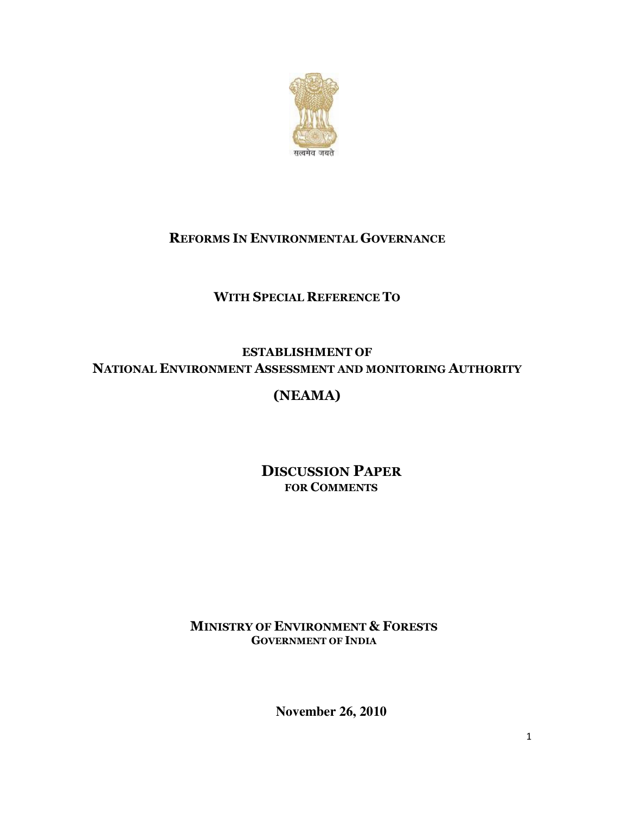

## REFORMS IN ENVIRONMENTAL GOVERNANCE

# WITH SPECIAL REFERENCE TO

### ESTABLISHMENT OF NATIONAL ENVIRONMENT ASSESSMENT AND MONITORING AUTHORITY

# (NEAMA)

## DISCUSSION PAPER FOR COMMENTS

### MINISTRY OF ENVIRONMENT & FORESTS GOVERNMENT OF INDIA

**November 26, 2010**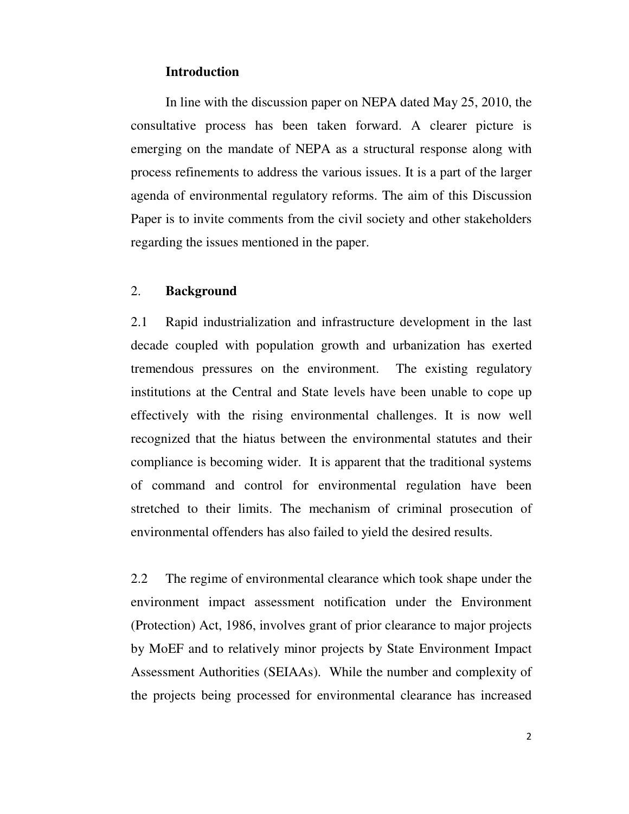### **Introduction**

In line with the discussion paper on NEPA dated May 25, 2010, the consultative process has been taken forward. A clearer picture is emerging on the mandate of NEPA as a structural response along with process refinements to address the various issues. It is a part of the larger agenda of environmental regulatory reforms. The aim of this Discussion Paper is to invite comments from the civil society and other stakeholders regarding the issues mentioned in the paper.

### 2. **Background**

2.1 Rapid industrialization and infrastructure development in the last decade coupled with population growth and urbanization has exerted tremendous pressures on the environment. The existing regulatory institutions at the Central and State levels have been unable to cope up effectively with the rising environmental challenges. It is now well recognized that the hiatus between the environmental statutes and their compliance is becoming wider.It is apparent that the traditional systems of command and control for environmental regulation have been stretched to their limits. The mechanism of criminal prosecution of environmental offenders has also failed to yield the desired results.

2.2 The regime of environmental clearance which took shape under the environment impact assessment notification under the Environment (Protection) Act, 1986, involves grant of prior clearance to major projects by MoEF and to relatively minor projects by State Environment Impact Assessment Authorities (SEIAAs). While the number and complexity of the projects being processed for environmental clearance has increased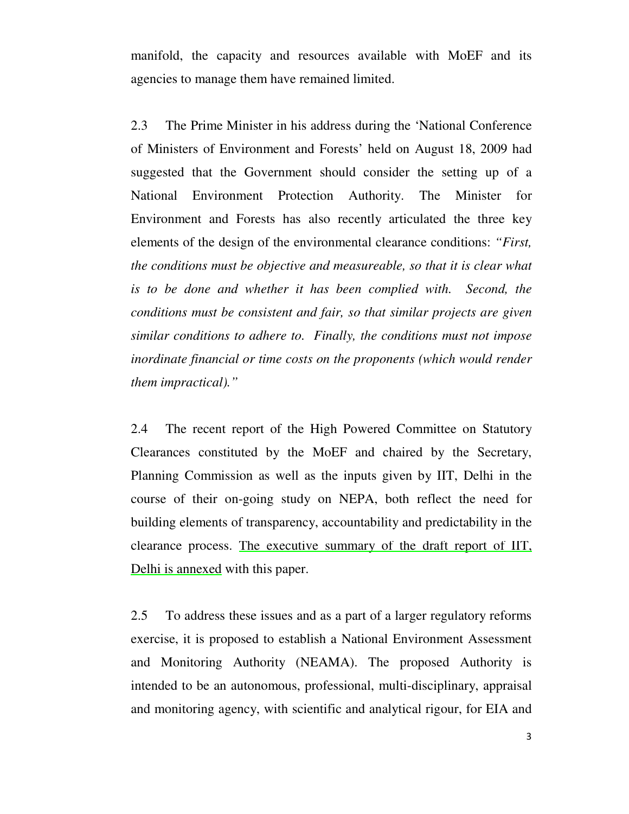manifold, the capacity and resources available with MoEF and its agencies to manage them have remained limited.

2.3 The Prime Minister in his address during the 'National Conference of Ministers of Environment and Forests' held on August 18, 2009 had suggested that the Government should consider the setting up of a National Environment Protection Authority. The Minister for Environment and Forests has also recently articulated the three key elements of the design of the environmental clearance conditions: *"First, the conditions must be objective and measureable, so that it is clear what is to be done and whether it has been complied with. Second, the conditions must be consistent and fair, so that similar projects are given similar conditions to adhere to. Finally, the conditions must not impose inordinate financial or time costs on the proponents (which would render them impractical)."*

2.4 The recent report of the High Powered Committee on Statutory Clearances constituted by the MoEF and chaired by the Secretary, Planning Commission as well as the inputs given by IIT, Delhi in the course of their on-going study on NEPA, both reflect the need for building elements of transparency, accountability and predictability in the clearance process. The executive summary of the draft report of IIT, Delhi is annexed with this paper.

2.5 To address these issues and as a part of a larger regulatory reforms exercise, it is proposed to establish a National Environment Assessment and Monitoring Authority (NEAMA). The proposed Authority is intended to be an autonomous, professional, multi-disciplinary, appraisal and monitoring agency, with scientific and analytical rigour, for EIA and

3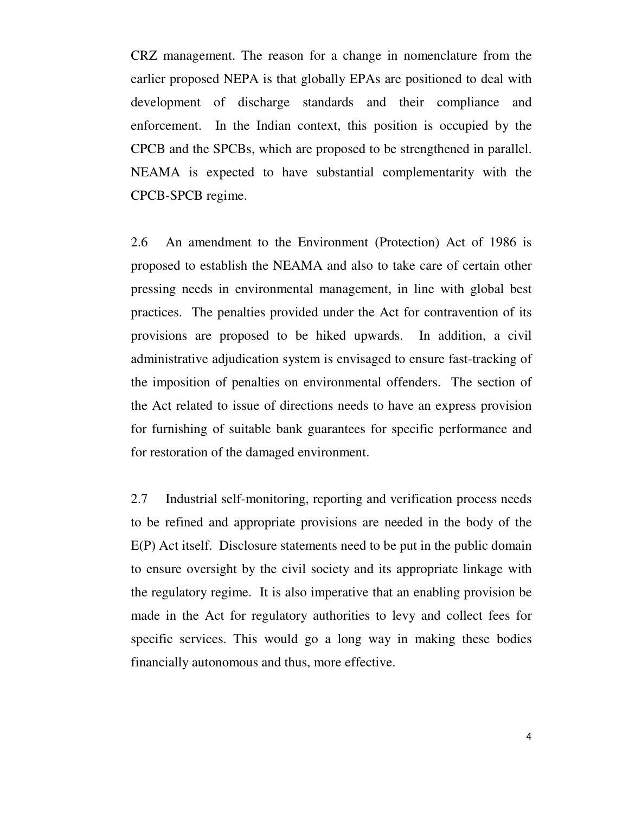CRZ management. The reason for a change in nomenclature from the earlier proposed NEPA is that globally EPAs are positioned to deal with development of discharge standards and their compliance and enforcement. In the Indian context, this position is occupied by the CPCB and the SPCBs, which are proposed to be strengthened in parallel. NEAMA is expected to have substantial complementarity with the CPCB-SPCB regime.

2.6 An amendment to the Environment (Protection) Act of 1986 is proposed to establish the NEAMA and also to take care of certain other pressing needs in environmental management, in line with global best practices. The penalties provided under the Act for contravention of its provisions are proposed to be hiked upwards. In addition, a civil administrative adjudication system is envisaged to ensure fast-tracking of the imposition of penalties on environmental offenders. The section of the Act related to issue of directions needs to have an express provision for furnishing of suitable bank guarantees for specific performance and for restoration of the damaged environment.

2.7 Industrial self-monitoring, reporting and verification process needs to be refined and appropriate provisions are needed in the body of the E(P) Act itself. Disclosure statements need to be put in the public domain to ensure oversight by the civil society and its appropriate linkage with the regulatory regime. It is also imperative that an enabling provision be made in the Act for regulatory authorities to levy and collect fees for specific services. This would go a long way in making these bodies financially autonomous and thus, more effective.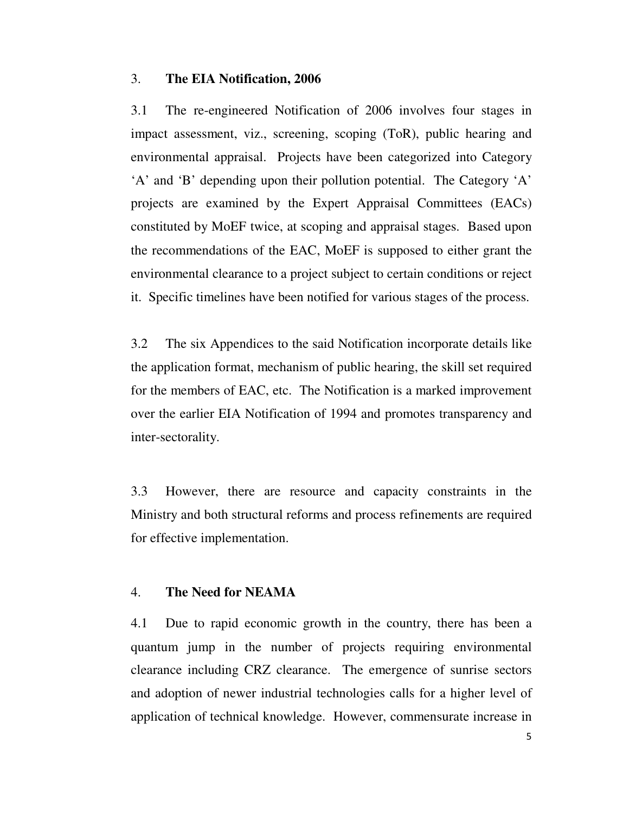### 3. **The EIA Notification, 2006**

3.1 The re-engineered Notification of 2006 involves four stages in impact assessment, viz., screening, scoping (ToR), public hearing and environmental appraisal. Projects have been categorized into Category 'A' and 'B' depending upon their pollution potential. The Category 'A' projects are examined by the Expert Appraisal Committees (EACs) constituted by MoEF twice, at scoping and appraisal stages. Based upon the recommendations of the EAC, MoEF is supposed to either grant the environmental clearance to a project subject to certain conditions or reject it. Specific timelines have been notified for various stages of the process.

3.2 The six Appendices to the said Notification incorporate details like the application format, mechanism of public hearing, the skill set required for the members of EAC, etc. The Notification is a marked improvement over the earlier EIA Notification of 1994 and promotes transparency and inter-sectorality.

3.3 However, there are resource and capacity constraints in the Ministry and both structural reforms and process refinements are required for effective implementation.

#### 4. **The Need for NEAMA**

4.1 Due to rapid economic growth in the country, there has been a quantum jump in the number of projects requiring environmental clearance including CRZ clearance. The emergence of sunrise sectors and adoption of newer industrial technologies calls for a higher level of application of technical knowledge. However, commensurate increase in

5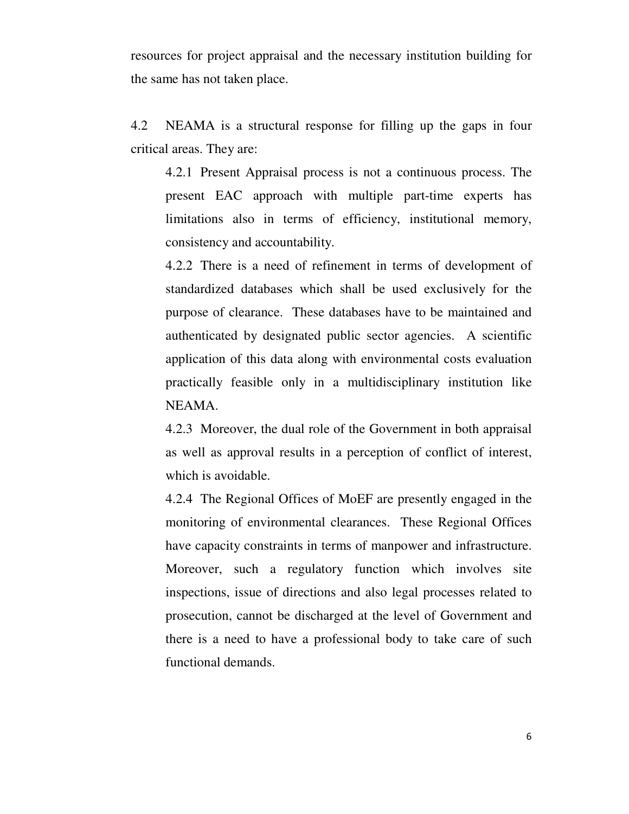resources for project appraisal and the necessary institution building for the same has not taken place.

4.2 NEAMA is a structural response for filling up the gaps in four critical areas. They are:

4.2.1 Present Appraisal process is not a continuous process. The present EAC approach with multiple part-time experts has limitations also in terms of efficiency, institutional memory, consistency and accountability.

4.2.2 There is a need of refinement in terms of development of standardized databases which shall be used exclusively for the purpose of clearance. These databases have to be maintained and authenticated by designated public sector agencies. A scientific application of this data along with environmental costs evaluation practically feasible only in a multidisciplinary institution like NEAMA.

4.2.3 Moreover, the dual role of the Government in both appraisal as well as approval results in a perception of conflict of interest, which is avoidable.

4.2.4 The Regional Offices of MoEF are presently engaged in the monitoring of environmental clearances. These Regional Offices have capacity constraints in terms of manpower and infrastructure. Moreover, such a regulatory function which involves site inspections, issue of directions and also legal processes related to prosecution, cannot be discharged at the level of Government and there is a need to have a professional body to take care of such functional demands.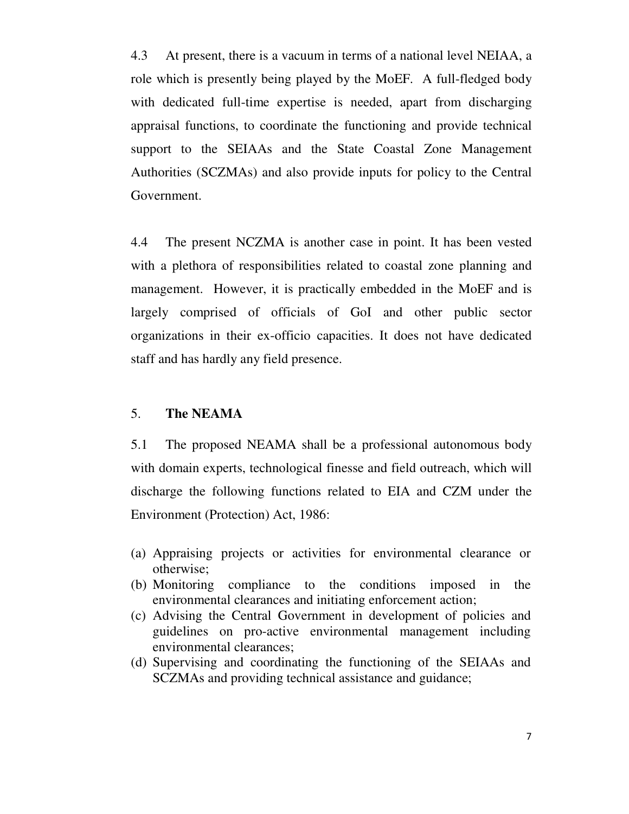4.3 At present, there is a vacuum in terms of a national level NEIAA, a role which is presently being played by the MoEF. A full-fledged body with dedicated full-time expertise is needed, apart from discharging appraisal functions, to coordinate the functioning and provide technical support to the SEIAAs and the State Coastal Zone Management Authorities (SCZMAs) and also provide inputs for policy to the Central Government.

4.4 The present NCZMA is another case in point. It has been vested with a plethora of responsibilities related to coastal zone planning and management. However, it is practically embedded in the MoEF and is largely comprised of officials of GoI and other public sector organizations in their ex-officio capacities. It does not have dedicated staff and has hardly any field presence.

### 5. **The NEAMA**

5.1 The proposed NEAMA shall be a professional autonomous body with domain experts, technological finesse and field outreach, which will discharge the following functions related to EIA and CZM under the Environment (Protection) Act, 1986:

- (a) Appraising projects or activities for environmental clearance or otherwise;
- (b) Monitoring compliance to the conditions imposed in the environmental clearances and initiating enforcement action;
- (c) Advising the Central Government in development of policies and guidelines on pro-active environmental management including environmental clearances;
- (d) Supervising and coordinating the functioning of the SEIAAs and SCZMAs and providing technical assistance and guidance;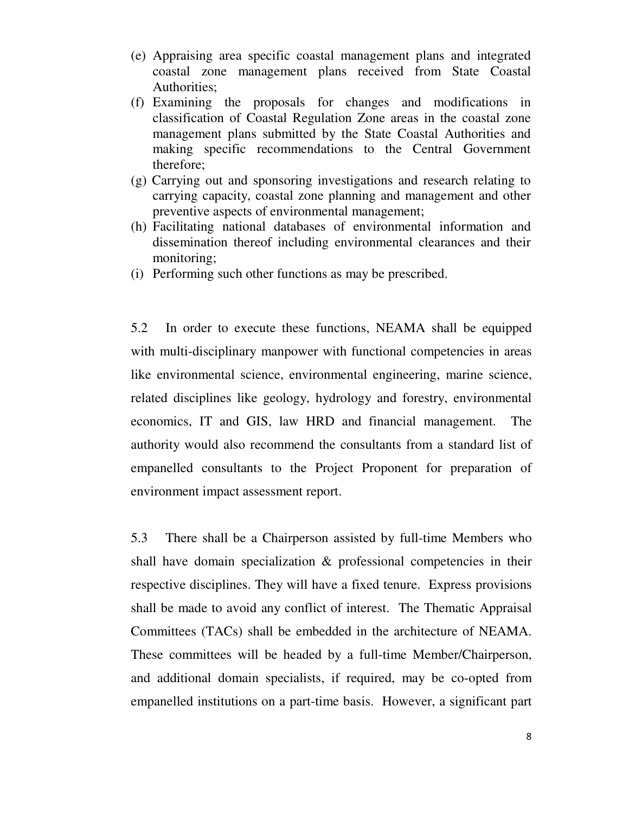- (e) Appraising area specific coastal management plans and integrated coastal zone management plans received from State Coastal Authorities;
- (f) Examining the proposals for changes and modifications in classification of Coastal Regulation Zone areas in the coastal zone management plans submitted by the State Coastal Authorities and making specific recommendations to the Central Government therefore;
- (g) Carrying out and sponsoring investigations and research relating to carrying capacity, coastal zone planning and management and other preventive aspects of environmental management;
- (h) Facilitating national databases of environmental information and dissemination thereof including environmental clearances and their monitoring;
- (i) Performing such other functions as may be prescribed.

5.2 In order to execute these functions, NEAMA shall be equipped with multi-disciplinary manpower with functional competencies in areas like environmental science, environmental engineering, marine science, related disciplines like geology, hydrology and forestry, environmental economics, IT and GIS, law HRD and financial management. The authority would also recommend the consultants from a standard list of empanelled consultants to the Project Proponent for preparation of environment impact assessment report.

5.3 There shall be a Chairperson assisted by full-time Members who shall have domain specialization  $\&$  professional competencies in their respective disciplines. They will have a fixed tenure. Express provisions shall be made to avoid any conflict of interest. The Thematic Appraisal Committees (TACs) shall be embedded in the architecture of NEAMA. These committees will be headed by a full-time Member/Chairperson, and additional domain specialists, if required, may be co-opted from empanelled institutions on a part-time basis. However, a significant part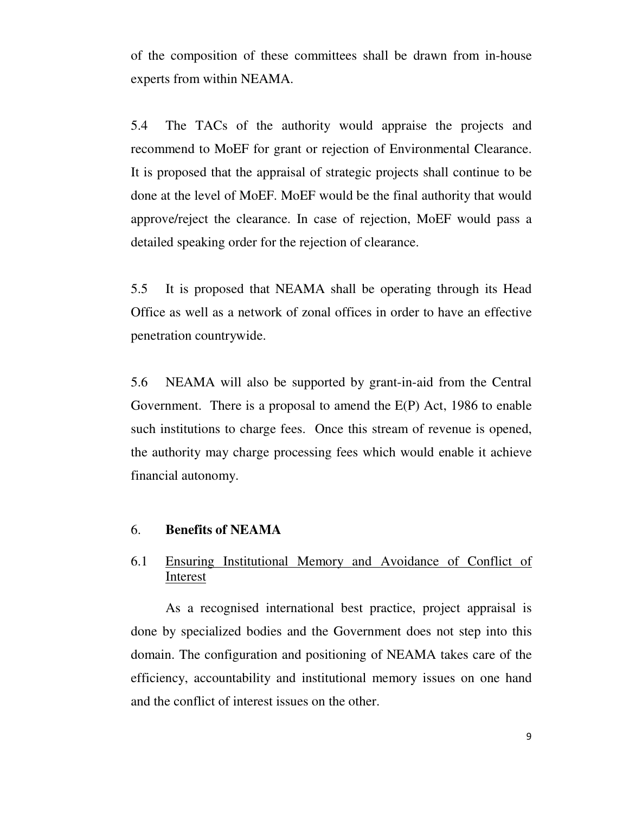of the composition of these committees shall be drawn from in-house experts from within NEAMA.

5.4 The TACs of the authority would appraise the projects and recommend to MoEF for grant or rejection of Environmental Clearance. It is proposed that the appraisal of strategic projects shall continue to be done at the level of MoEF. MoEF would be the final authority that would approve/reject the clearance. In case of rejection, MoEF would pass a detailed speaking order for the rejection of clearance.

5.5 It is proposed that NEAMA shall be operating through its Head Office as well as a network of zonal offices in order to have an effective penetration countrywide.

5.6 NEAMA will also be supported by grant-in-aid from the Central Government. There is a proposal to amend the E(P) Act, 1986 to enable such institutions to charge fees. Once this stream of revenue is opened, the authority may charge processing fees which would enable it achieve financial autonomy.

### 6. **Benefits of NEAMA**

### 6.1 Ensuring Institutional Memory and Avoidance of Conflict of Interest

 As a recognised international best practice, project appraisal is done by specialized bodies and the Government does not step into this domain. The configuration and positioning of NEAMA takes care of the efficiency, accountability and institutional memory issues on one hand and the conflict of interest issues on the other.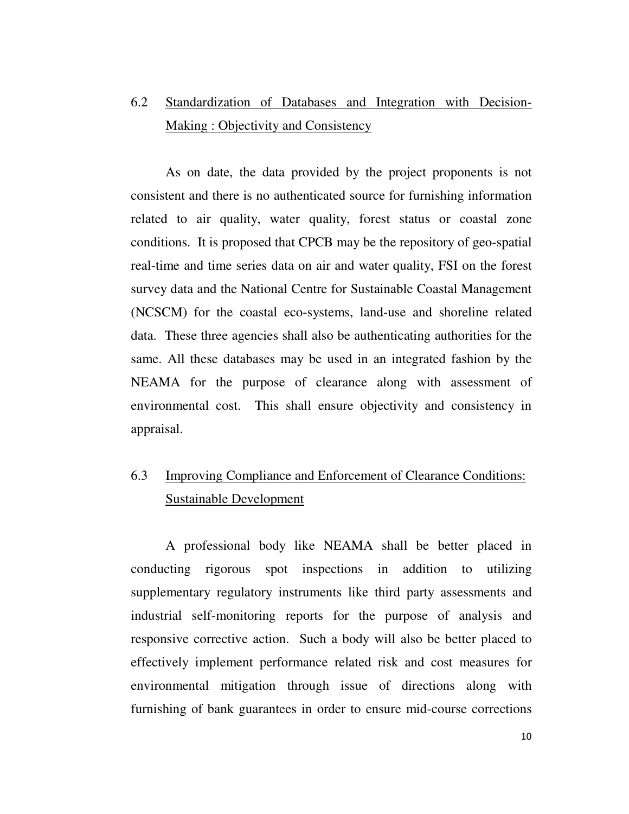# 6.2 Standardization of Databases and Integration with Decision-Making : Objectivity and Consistency

 As on date, the data provided by the project proponents is not consistent and there is no authenticated source for furnishing information related to air quality, water quality, forest status or coastal zone conditions. It is proposed that CPCB may be the repository of geo-spatial real-time and time series data on air and water quality, FSI on the forest survey data and the National Centre for Sustainable Coastal Management (NCSCM) for the coastal eco-systems, land-use and shoreline related data. These three agencies shall also be authenticating authorities for the same. All these databases may be used in an integrated fashion by the NEAMA for the purpose of clearance along with assessment of environmental cost. This shall ensure objectivity and consistency in appraisal.

# 6.3 Improving Compliance and Enforcement of Clearance Conditions: Sustainable Development

 A professional body like NEAMA shall be better placed in conducting rigorous spot inspections in addition to utilizing supplementary regulatory instruments like third party assessments and industrial self-monitoring reports for the purpose of analysis and responsive corrective action. Such a body will also be better placed to effectively implement performance related risk and cost measures for environmental mitigation through issue of directions along with furnishing of bank guarantees in order to ensure mid-course corrections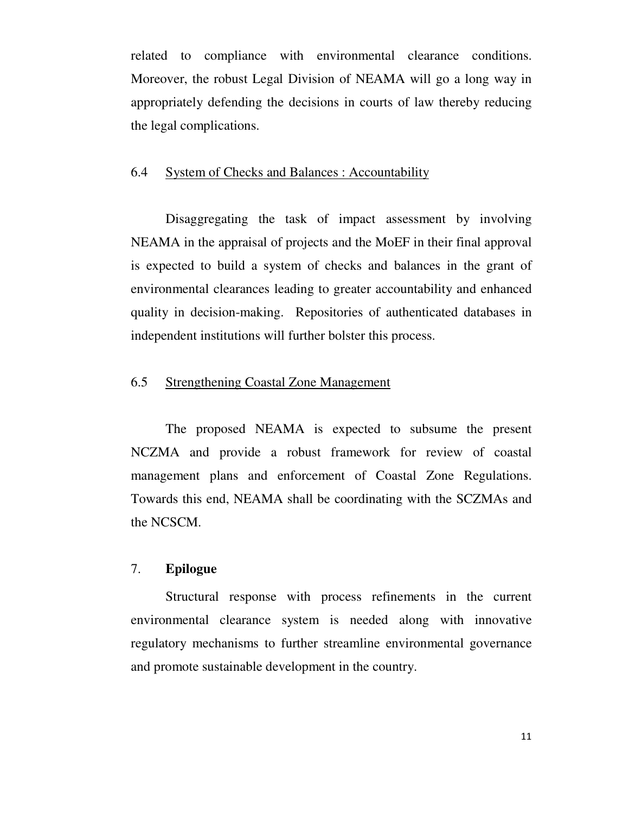related to compliance with environmental clearance conditions. Moreover, the robust Legal Division of NEAMA will go a long way in appropriately defending the decisions in courts of law thereby reducing the legal complications.

### 6.4 System of Checks and Balances : Accountability

 Disaggregating the task of impact assessment by involving NEAMA in the appraisal of projects and the MoEF in their final approval is expected to build a system of checks and balances in the grant of environmental clearances leading to greater accountability and enhanced quality in decision-making. Repositories of authenticated databases in independent institutions will further bolster this process.

### 6.5 Strengthening Coastal Zone Management

 The proposed NEAMA is expected to subsume the present NCZMA and provide a robust framework for review of coastal management plans and enforcement of Coastal Zone Regulations. Towards this end, NEAMA shall be coordinating with the SCZMAs and the NCSCM.

#### 7. **Epilogue**

 Structural response with process refinements in the current environmental clearance system is needed along with innovative regulatory mechanisms to further streamline environmental governance and promote sustainable development in the country.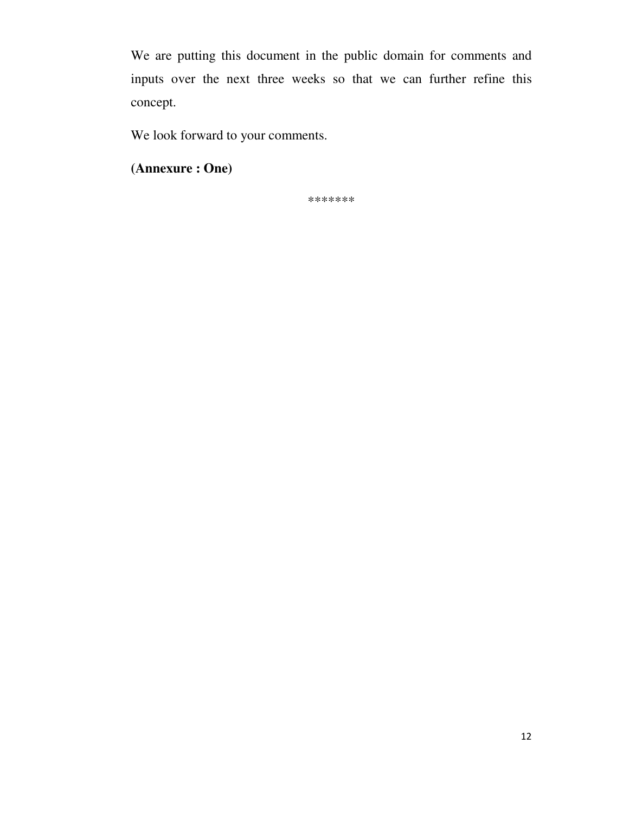We are putting this document in the public domain for comments and inputs over the next three weeks so that we can further refine this concept.

We look forward to your comments.

**(Annexure : One)** 

\*\*\*\*\*\*\*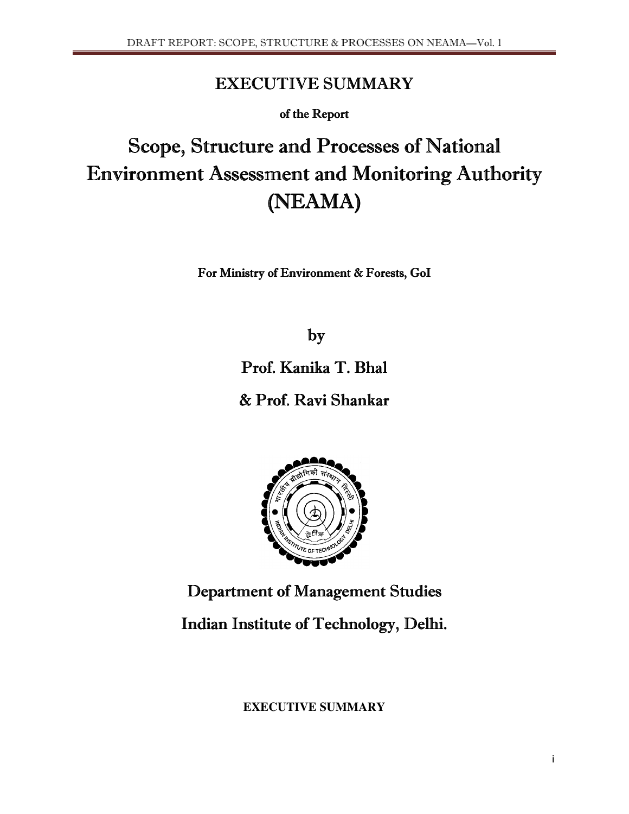# **EXECUTIVE SUMMARY**

of the Report

# Scope, Structure and Processes of National Environment Assessment and Monitoring Authority (NEAMA) (NEAMA)

For Ministry of Environment & Forests, GoI

by

Prof. Kanika T. Bhal

& Prof. Ravi Shankar



Department of Management Studies

Indian Institute of Technology, Delhi.

**EXECUTIVE SUMMARY**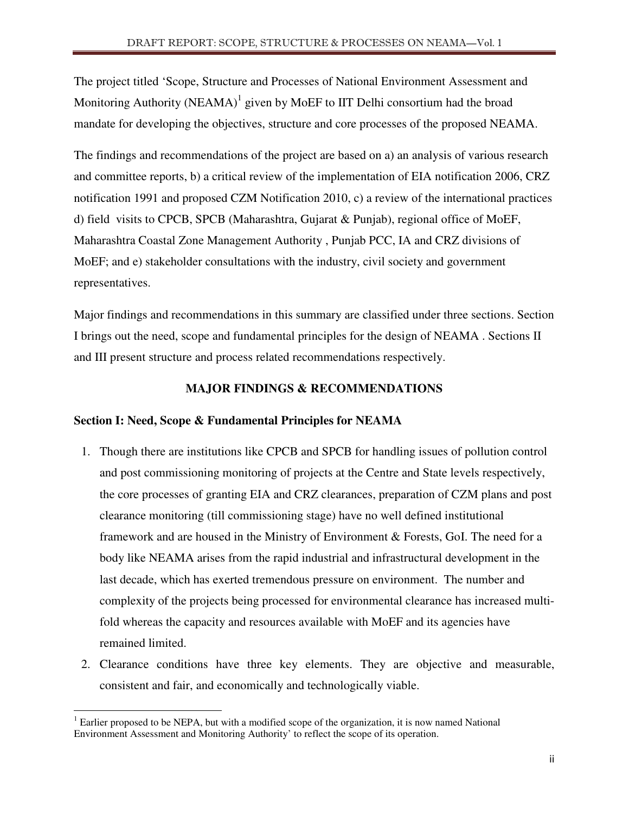The project titled 'Scope, Structure and Processes of National Environment Assessment and Monitoring Authority (NEAMA)<sup>1</sup> given by MoEF to IIT Delhi consortium had the broad mandate for developing the objectives, structure and core processes of the proposed NEAMA.

The findings and recommendations of the project are based on a) an analysis of various research and committee reports, b) a critical review of the implementation of EIA notification 2006, CRZ notification 1991 and proposed CZM Notification 2010, c) a review of the international practices d) field visits to CPCB, SPCB (Maharashtra, Gujarat & Punjab), regional office of MoEF, Maharashtra Coastal Zone Management Authority , Punjab PCC, IA and CRZ divisions of MoEF; and e) stakeholder consultations with the industry, civil society and government representatives.

Major findings and recommendations in this summary are classified under three sections. Section I brings out the need, scope and fundamental principles for the design of NEAMA . Sections II and III present structure and process related recommendations respectively.

### **MAJOR FINDINGS & RECOMMENDATIONS**

### **Section I: Need, Scope & Fundamental Principles for NEAMA**

- 1. Though there are institutions like CPCB and SPCB for handling issues of pollution control and post commissioning monitoring of projects at the Centre and State levels respectively, the core processes of granting EIA and CRZ clearances, preparation of CZM plans and post clearance monitoring (till commissioning stage) have no well defined institutional framework and are housed in the Ministry of Environment & Forests, GoI. The need for a body like NEAMA arises from the rapid industrial and infrastructural development in the last decade, which has exerted tremendous pressure on environment. The number and complexity of the projects being processed for environmental clearance has increased multifold whereas the capacity and resources available with MoEF and its agencies have remained limited.
- 2. Clearance conditions have three key elements. They are objective and measurable, consistent and fair, and economically and technologically viable.

l

 $1$  Earlier proposed to be NEPA, but with a modified scope of the organization, it is now named National Environment Assessment and Monitoring Authority' to reflect the scope of its operation.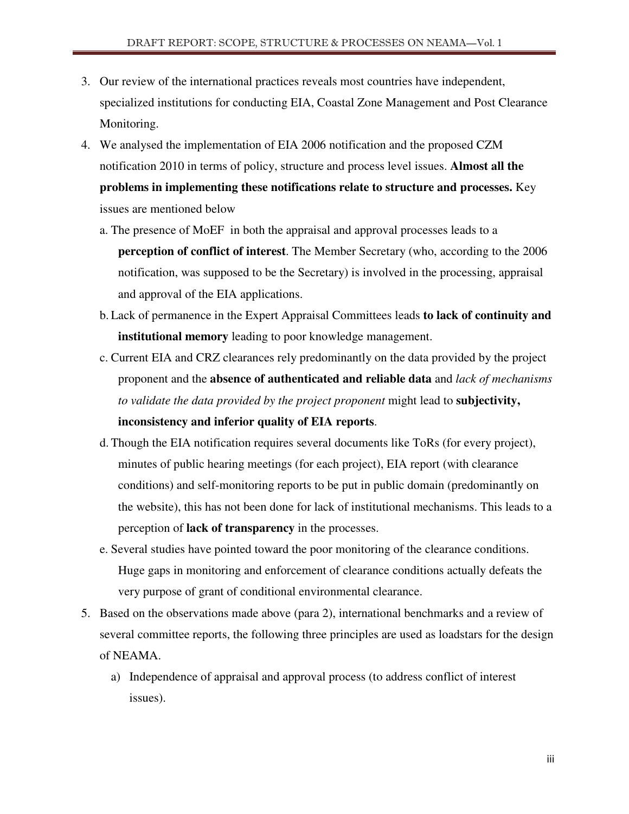- 3. Our review of the international practices reveals most countries have independent, specialized institutions for conducting EIA, Coastal Zone Management and Post Clearance Monitoring.
- 4. We analysed the implementation of EIA 2006 notification and the proposed CZM notification 2010 in terms of policy, structure and process level issues. **Almost all the problems in implementing these notifications relate to structure and processes.** Key issues are mentioned below
	- a. The presence of MoEF in both the appraisal and approval processes leads to a **perception of conflict of interest**. The Member Secretary (who, according to the 2006 notification, was supposed to be the Secretary) is involved in the processing, appraisal and approval of the EIA applications.
	- b. Lack of permanence in the Expert Appraisal Committees leads **to lack of continuity and institutional memory** leading to poor knowledge management.
	- c. Current EIA and CRZ clearances rely predominantly on the data provided by the project proponent and the **absence of authenticated and reliable data** and *lack of mechanisms to validate the data provided by the project proponent* might lead to **subjectivity, inconsistency and inferior quality of EIA reports**.
	- d. Though the EIA notification requires several documents like ToRs (for every project), minutes of public hearing meetings (for each project), EIA report (with clearance conditions) and self-monitoring reports to be put in public domain (predominantly on the website), this has not been done for lack of institutional mechanisms. This leads to a perception of **lack of transparency** in the processes.
	- e. Several studies have pointed toward the poor monitoring of the clearance conditions. Huge gaps in monitoring and enforcement of clearance conditions actually defeats the very purpose of grant of conditional environmental clearance.
- 5. Based on the observations made above (para 2), international benchmarks and a review of several committee reports, the following three principles are used as loadstars for the design of NEAMA.
	- a) Independence of appraisal and approval process (to address conflict of interest issues).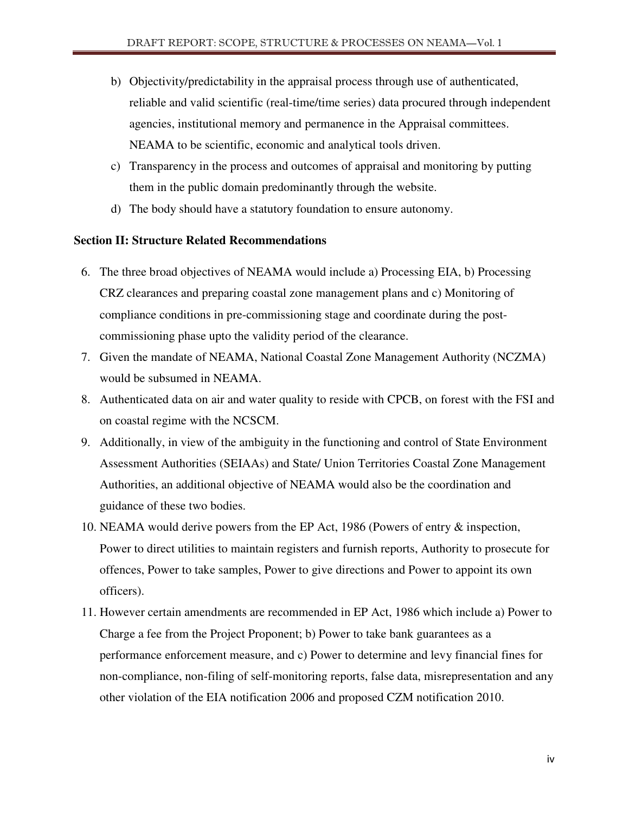- b) Objectivity/predictability in the appraisal process through use of authenticated, reliable and valid scientific (real-time/time series) data procured through independent agencies, institutional memory and permanence in the Appraisal committees. NEAMA to be scientific, economic and analytical tools driven.
- c) Transparency in the process and outcomes of appraisal and monitoring by putting them in the public domain predominantly through the website.
- d) The body should have a statutory foundation to ensure autonomy.

### **Section II: Structure Related Recommendations**

- 6. The three broad objectives of NEAMA would include a) Processing EIA, b) Processing CRZ clearances and preparing coastal zone management plans and c) Monitoring of compliance conditions in pre-commissioning stage and coordinate during the postcommissioning phase upto the validity period of the clearance.
- 7. Given the mandate of NEAMA, National Coastal Zone Management Authority (NCZMA) would be subsumed in NEAMA.
- 8. Authenticated data on air and water quality to reside with CPCB, on forest with the FSI and on coastal regime with the NCSCM.
- 9. Additionally, in view of the ambiguity in the functioning and control of State Environment Assessment Authorities (SEIAAs) and State/ Union Territories Coastal Zone Management Authorities, an additional objective of NEAMA would also be the coordination and guidance of these two bodies.
- 10. NEAMA would derive powers from the EP Act, 1986 (Powers of entry & inspection, Power to direct utilities to maintain registers and furnish reports, Authority to prosecute for offences, Power to take samples, Power to give directions and Power to appoint its own officers).
- 11. However certain amendments are recommended in EP Act, 1986 which include a) Power to Charge a fee from the Project Proponent; b) Power to take bank guarantees as a performance enforcement measure, and c) Power to determine and levy financial fines for non-compliance, non-filing of self-monitoring reports, false data, misrepresentation and any other violation of the EIA notification 2006 and proposed CZM notification 2010.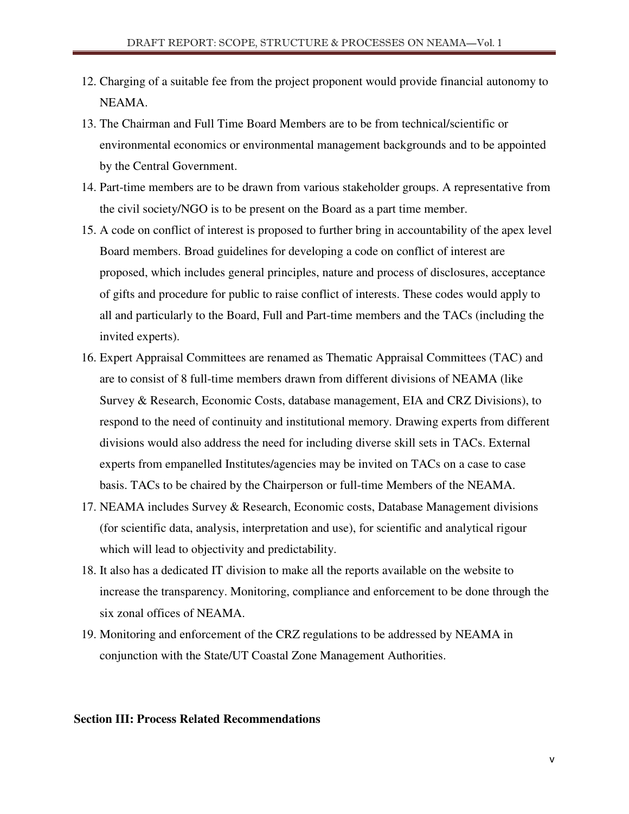- 12. Charging of a suitable fee from the project proponent would provide financial autonomy to NEAMA.
- 13. The Chairman and Full Time Board Members are to be from technical/scientific or environmental economics or environmental management backgrounds and to be appointed by the Central Government.
- 14. Part-time members are to be drawn from various stakeholder groups. A representative from the civil society/NGO is to be present on the Board as a part time member.
- 15. A code on conflict of interest is proposed to further bring in accountability of the apex level Board members. Broad guidelines for developing a code on conflict of interest are proposed, which includes general principles, nature and process of disclosures, acceptance of gifts and procedure for public to raise conflict of interests. These codes would apply to all and particularly to the Board, Full and Part-time members and the TACs (including the invited experts).
- 16. Expert Appraisal Committees are renamed as Thematic Appraisal Committees (TAC) and are to consist of 8 full-time members drawn from different divisions of NEAMA (like Survey & Research, Economic Costs, database management, EIA and CRZ Divisions), to respond to the need of continuity and institutional memory. Drawing experts from different divisions would also address the need for including diverse skill sets in TACs. External experts from empanelled Institutes/agencies may be invited on TACs on a case to case basis. TACs to be chaired by the Chairperson or full-time Members of the NEAMA.
- 17. NEAMA includes Survey & Research, Economic costs, Database Management divisions (for scientific data, analysis, interpretation and use), for scientific and analytical rigour which will lead to objectivity and predictability.
- 18. It also has a dedicated IT division to make all the reports available on the website to increase the transparency. Monitoring, compliance and enforcement to be done through the six zonal offices of NEAMA.
- 19. Monitoring and enforcement of the CRZ regulations to be addressed by NEAMA in conjunction with the State/UT Coastal Zone Management Authorities.

#### **Section III: Process Related Recommendations**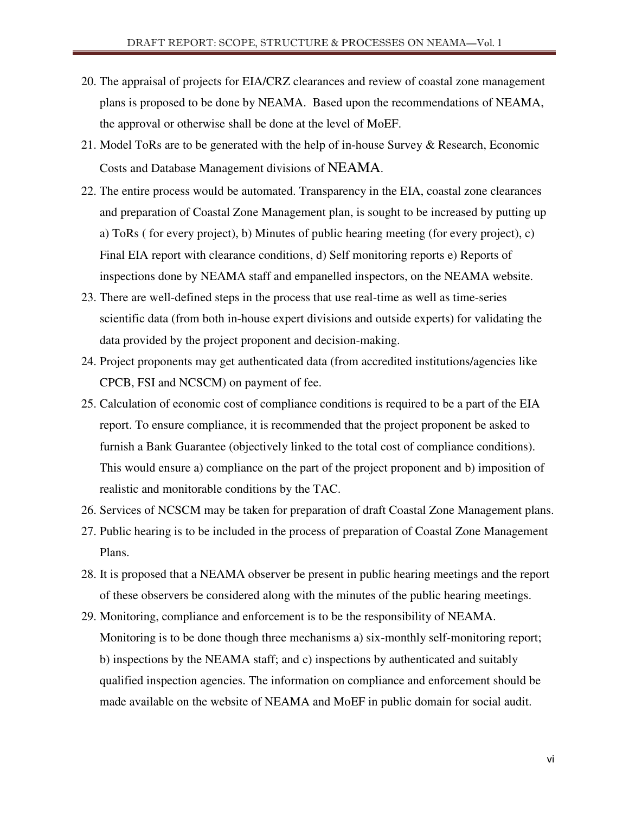- 20. The appraisal of projects for EIA/CRZ clearances and review of coastal zone management plans is proposed to be done by NEAMA. Based upon the recommendations of NEAMA, the approval or otherwise shall be done at the level of MoEF.
- 21. Model ToRs are to be generated with the help of in-house Survey & Research, Economic Costs and Database Management divisions of NEAMA.
- 22. The entire process would be automated. Transparency in the EIA, coastal zone clearances and preparation of Coastal Zone Management plan, is sought to be increased by putting up a) ToRs ( for every project), b) Minutes of public hearing meeting (for every project), c) Final EIA report with clearance conditions, d) Self monitoring reports e) Reports of inspections done by NEAMA staff and empanelled inspectors, on the NEAMA website.
- 23. There are well-defined steps in the process that use real-time as well as time-series scientific data (from both in-house expert divisions and outside experts) for validating the data provided by the project proponent and decision-making.
- 24. Project proponents may get authenticated data (from accredited institutions/agencies like CPCB, FSI and NCSCM) on payment of fee.
- 25. Calculation of economic cost of compliance conditions is required to be a part of the EIA report. To ensure compliance, it is recommended that the project proponent be asked to furnish a Bank Guarantee (objectively linked to the total cost of compliance conditions). This would ensure a) compliance on the part of the project proponent and b) imposition of realistic and monitorable conditions by the TAC.
- 26. Services of NCSCM may be taken for preparation of draft Coastal Zone Management plans.
- 27. Public hearing is to be included in the process of preparation of Coastal Zone Management Plans.
- 28. It is proposed that a NEAMA observer be present in public hearing meetings and the report of these observers be considered along with the minutes of the public hearing meetings.
- 29. Monitoring, compliance and enforcement is to be the responsibility of NEAMA. Monitoring is to be done though three mechanisms a) six-monthly self-monitoring report; b) inspections by the NEAMA staff; and c) inspections by authenticated and suitably qualified inspection agencies. The information on compliance and enforcement should be made available on the website of NEAMA and MoEF in public domain for social audit.